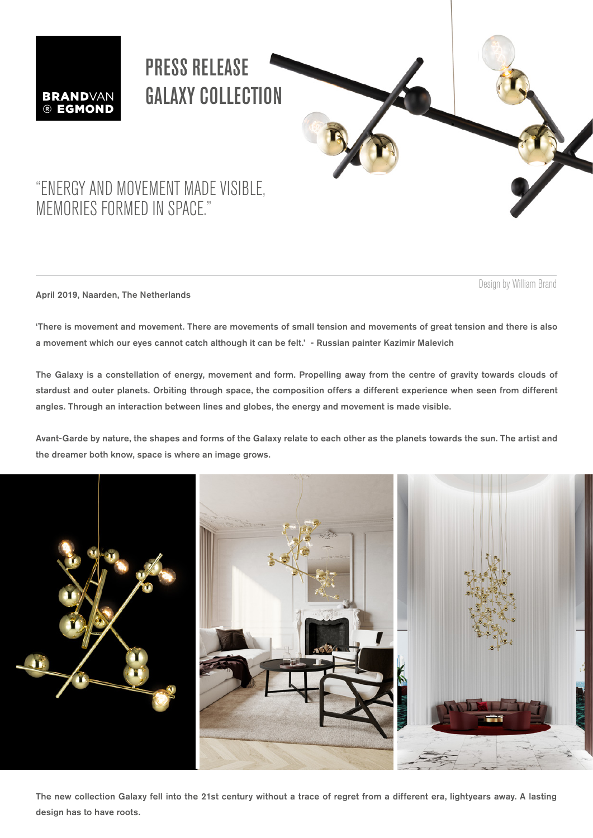

## PRESS RELEASE GALAXY COLLECTION

### "ENERGY AND MOVEMENT MADE VISIBLE, MEMORIES FORMED IN SPACE."

Design by William Brand

April 2019, Naarden, The Netherlands

'There is movement and movement. There are movements of small tension and movements of great tension and there is also a movement which our eyes cannot catch although it can be felt.' - Russian painter Kazimir Malevich

The Galaxy is a constellation of energy, movement and form. Propelling away from the centre of gravity towards clouds of stardust and outer planets. Orbiting through space, the composition offers a different experience when seen from different angles. Through an interaction between lines and globes, the energy and movement is made visible.

Avant-Garde by nature, the shapes and forms of the Galaxy relate to each other as the planets towards the sun. The artist and the dreamer both know, space is where an image grows.



The new collection Galaxy fell into the 21st century without a trace of regret from a different era, lightyears away. A lasting design has to have roots.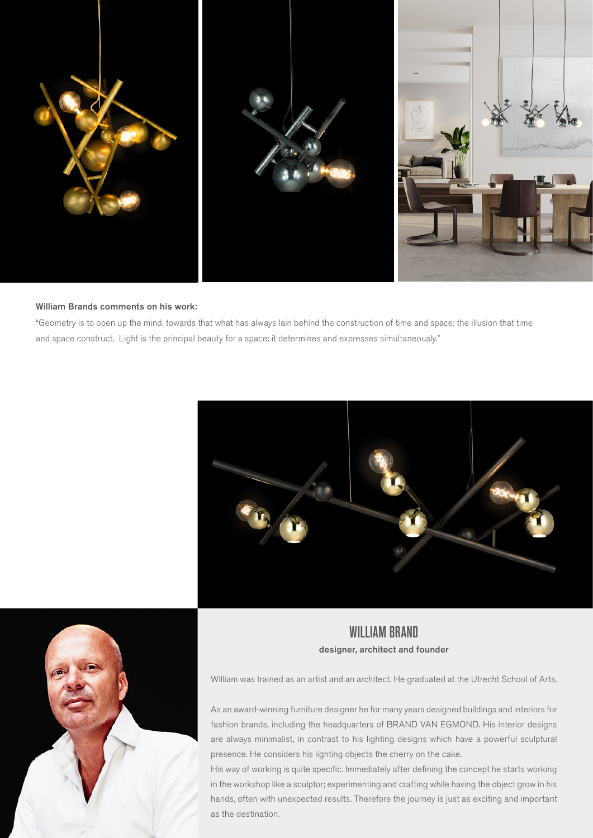

### William Brands comments on his work:

"Geometry is to open up the mind, towards that what has always lain behind the construction of time and space; the illusion that time and space construct. Light is the principal beauty for a space: it determines and expresses simultaneously."





WILLIAM BRAND designer, architect and founder

William was trained as an artist and an architect. He graduated at the Utrecht School of Arts.

As an award-winning furniture designer he for many years designed buildings and interiors for fashion brands, including the headquarters of BRAND VAN EGMOND. His interior designs are always minimalist, in contrast to his lighting designs which have a powerful sculptural presence. He considers his lighting objects the cherry on the cake.

His way of working is quite specific. Immediately after defining the concept he starts working in the workshop like a sculptor; experimenting and crafting while having the object grow in his hands, often with unexpected results. Therefore the journey is just as exciting and important as the destination.